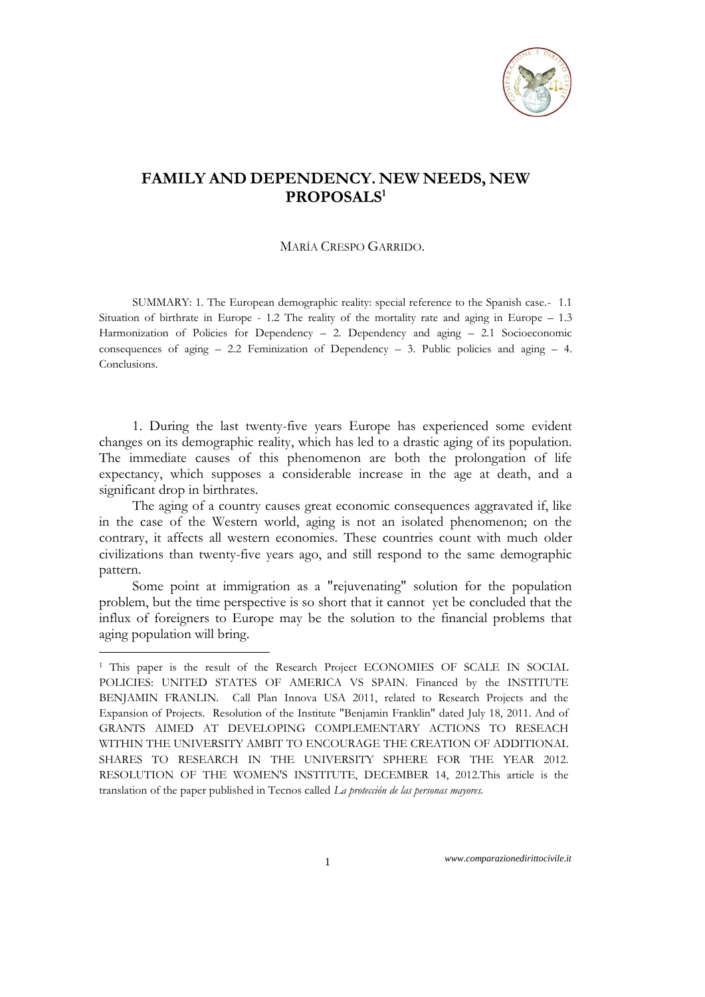

## **FAMILY AND DEPENDENCY. NEW NEEDS, NEW PROPOSALS<sup>1</sup>**

## MARÍA CRESPO GARRIDO.

SUMMARY: 1. The European demographic reality: special reference to the Spanish case.- 1.1 Situation of birthrate in Europe - 1.2 The reality of the mortality rate and aging in Europe – 1.3 Harmonization of Policies for Dependency – 2. Dependency and aging – 2.1 Socioeconomic consequences of aging  $-2.2$  Feminization of Dependency  $-3$ . Public policies and aging  $-4$ . Conclusions.

1. During the last twenty-five years Europe has experienced some evident changes on its demographic reality, which has led to a drastic aging of its population. The immediate causes of this phenomenon are both the prolongation of life expectancy, which supposes a considerable increase in the age at death, and a significant drop in birthrates.

The aging of a country causes great economic consequences aggravated if, like in the case of the Western world, aging is not an isolated phenomenon; on the contrary, it affects all western economies. These countries count with much older civilizations than twenty-five years ago, and still respond to the same demographic pattern.

Some point at immigration as a "rejuvenating" solution for the population problem, but the time perspective is so short that it cannot yet be concluded that the influx of foreigners to Europe may be the solution to the financial problems that aging population will bring.

<u>.</u>

<sup>&</sup>lt;sup>1</sup> This paper is the result of the Research Project ECONOMIES OF SCALE IN SOCIAL POLICIES: UNITED STATES OF AMERICA VS SPAIN. Financed by the INSTITUTE BENJAMIN FRANLIN. Call Plan Innova USA 2011, related to Research Projects and the Expansion of Projects. Resolution of the Institute "Benjamin Franklin" dated July 18, 2011. And of GRANTS AIMED AT DEVELOPING COMPLEMENTARY ACTIONS TO RESEACH WITHIN THE UNIVERSITY AMBIT TO ENCOURAGE THE CREATION OF ADDITIONAL SHARES TO RESEARCH IN THE UNIVERSITY SPHERE FOR THE YEAR 2012. RESOLUTION OF THE WOMEN'S INSTITUTE, DECEMBER 14, 2012.This article is the translation of the paper published in Tecnos called *La protección de las personas mayores.*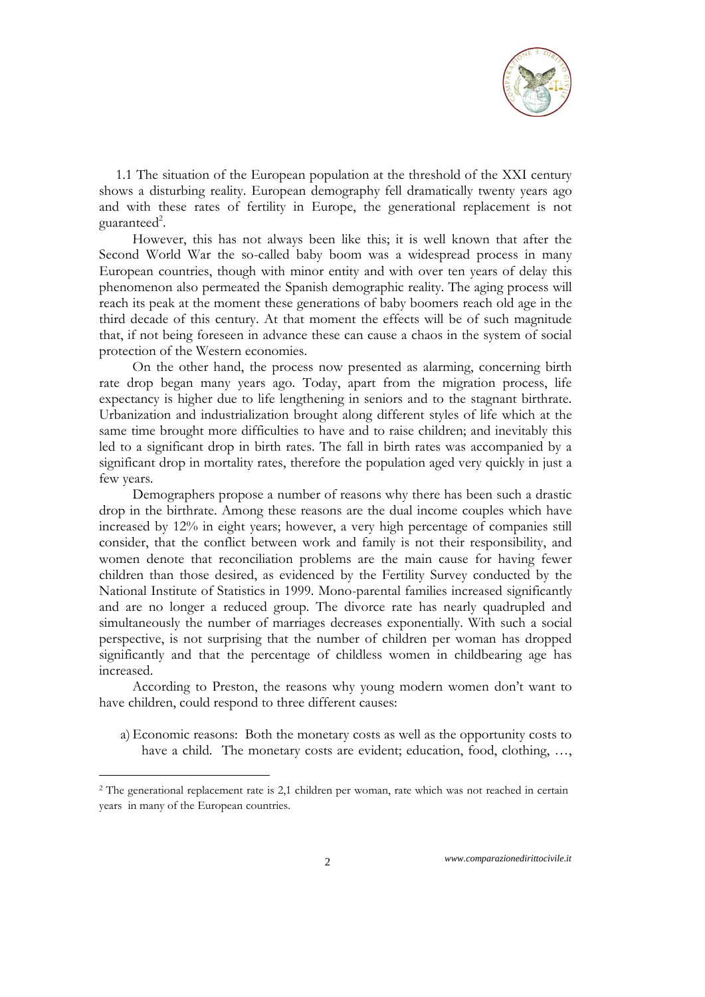

1.1 The situation of the European population at the threshold of the XXI century shows a disturbing reality. European demography fell dramatically twenty years ago and with these rates of fertility in Europe, the generational replacement is not guaranteed<sup>2</sup>.

However, this has not always been like this; it is well known that after the Second World War the so-called baby boom was a widespread process in many European countries, though with minor entity and with over ten years of delay this phenomenon also permeated the Spanish demographic reality. The aging process will reach its peak at the moment these generations of baby boomers reach old age in the third decade of this century. At that moment the effects will be of such magnitude that, if not being foreseen in advance these can cause a chaos in the system of social protection of the Western economies.

On the other hand, the process now presented as alarming, concerning birth rate drop began many years ago. Today, apart from the migration process, life expectancy is higher due to life lengthening in seniors and to the stagnant birthrate. Urbanization and industrialization brought along different styles of life which at the same time brought more difficulties to have and to raise children; and inevitably this led to a significant drop in birth rates. The fall in birth rates was accompanied by a significant drop in mortality rates, therefore the population aged very quickly in just a few years.

Demographers propose a number of reasons why there has been such a drastic drop in the birthrate. Among these reasons are the dual income couples which have increased by 12% in eight years; however, a very high percentage of companies still consider, that the conflict between work and family is not their responsibility, and women denote that reconciliation problems are the main cause for having fewer children than those desired, as evidenced by the Fertility Survey conducted by the National Institute of Statistics in 1999. Mono-parental families increased significantly and are no longer a reduced group. The divorce rate has nearly quadrupled and simultaneously the number of marriages decreases exponentially. With such a social perspective, is not surprising that the number of children per woman has dropped significantly and that the percentage of childless women in childbearing age has increased.

According to Preston, the reasons why young modern women don't want to have children, could respond to three different causes:

a)Economic reasons: Both the monetary costs as well as the opportunity costs to have a child. The monetary costs are evident; education, food, clothing, ...,

1

<sup>2</sup> The generational replacement rate is 2,1 children per woman, rate which was not reached in certain years in many of the European countries.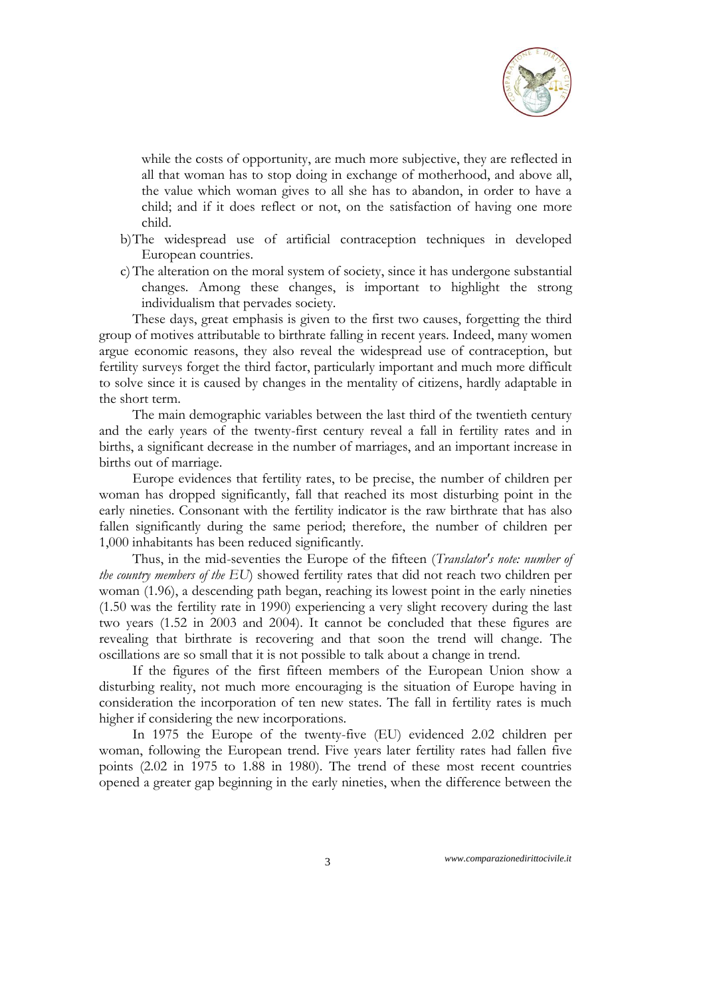

while the costs of opportunity, are much more subjective, they are reflected in all that woman has to stop doing in exchange of motherhood, and above all, the value which woman gives to all she has to abandon, in order to have a child; and if it does reflect or not, on the satisfaction of having one more child.

- b)The widespread use of artificial contraception techniques in developed European countries.
- c)The alteration on the moral system of society, since it has undergone substantial changes. Among these changes, is important to highlight the strong individualism that pervades society.

These days, great emphasis is given to the first two causes, forgetting the third group of motives attributable to birthrate falling in recent years. Indeed, many women argue economic reasons, they also reveal the widespread use of contraception, but fertility surveys forget the third factor, particularly important and much more difficult to solve since it is caused by changes in the mentality of citizens, hardly adaptable in the short term.

The main demographic variables between the last third of the twentieth century and the early years of the twenty-first century reveal a fall in fertility rates and in births, a significant decrease in the number of marriages, and an important increase in births out of marriage.

Europe evidences that fertility rates, to be precise, the number of children per woman has dropped significantly, fall that reached its most disturbing point in the early nineties. Consonant with the fertility indicator is the raw birthrate that has also fallen significantly during the same period; therefore, the number of children per 1,000 inhabitants has been reduced significantly.

Thus, in the mid-seventies the Europe of the fifteen (*Translator's note: number of the country members of the EU*) showed fertility rates that did not reach two children per woman (1.96), a descending path began, reaching its lowest point in the early nineties (1.50 was the fertility rate in 1990) experiencing a very slight recovery during the last two years (1.52 in 2003 and 2004). It cannot be concluded that these figures are revealing that birthrate is recovering and that soon the trend will change. The oscillations are so small that it is not possible to talk about a change in trend.

If the figures of the first fifteen members of the European Union show a disturbing reality, not much more encouraging is the situation of Europe having in consideration the incorporation of ten new states. The fall in fertility rates is much higher if considering the new incorporations.

In 1975 the Europe of the twenty-five (EU) evidenced 2.02 children per woman, following the European trend. Five years later fertility rates had fallen five points (2.02 in 1975 to 1.88 in 1980). The trend of these most recent countries opened a greater gap beginning in the early nineties, when the difference between the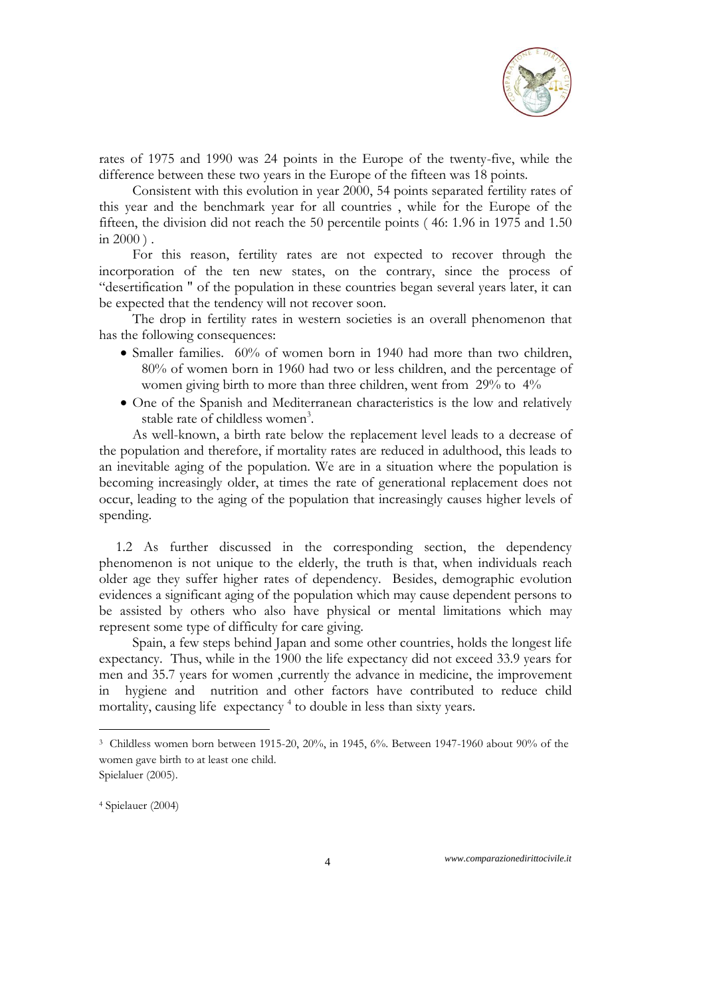

rates of 1975 and 1990 was 24 points in the Europe of the twenty-five, while the difference between these two years in the Europe of the fifteen was 18 points.

Consistent with this evolution in year 2000, 54 points separated fertility rates of this year and the benchmark year for all countries , while for the Europe of the fifteen, the division did not reach the 50 percentile points ( 46: 1.96 in 1975 and 1.50 in 2000 ) .

For this reason, fertility rates are not expected to recover through the incorporation of the ten new states, on the contrary, since the process of "desertification " of the population in these countries began several years later, it can be expected that the tendency will not recover soon.

The drop in fertility rates in western societies is an overall phenomenon that has the following consequences:

- Smaller families. 60% of women born in 1940 had more than two children, 80% of women born in 1960 had two or less children, and the percentage of women giving birth to more than three children, went from 29% to 4%
- One of the Spanish and Mediterranean characteristics is the low and relatively stable rate of childless women<sup>3</sup>.

As well-known, a birth rate below the replacement level leads to a decrease of the population and therefore, if mortality rates are reduced in adulthood, this leads to an inevitable aging of the population. We are in a situation where the population is becoming increasingly older, at times the rate of generational replacement does not occur, leading to the aging of the population that increasingly causes higher levels of spending.

1.2 As further discussed in the corresponding section, the dependency phenomenon is not unique to the elderly, the truth is that, when individuals reach older age they suffer higher rates of dependency. Besides, demographic evolution evidences a significant aging of the population which may cause dependent persons to be assisted by others who also have physical or mental limitations which may represent some type of difficulty for care giving.

Spain, a few steps behind Japan and some other countries, holds the longest life expectancy. Thus, while in the 1900 the life expectancy did not exceed 33.9 years for men and 35.7 years for women ,currently the advance in medicine, the improvement in hygiene and nutrition and other factors have contributed to reduce child mortality, causing life expectancy<sup>4</sup> to double in less than sixty years.

-

<sup>4</sup> Spielauer (2004)

<sup>3</sup> Childless women born between 1915-20, 20%, in 1945, 6%. Between 1947-1960 about 90% of the women gave birth to at least one child. Spielaluer (2005).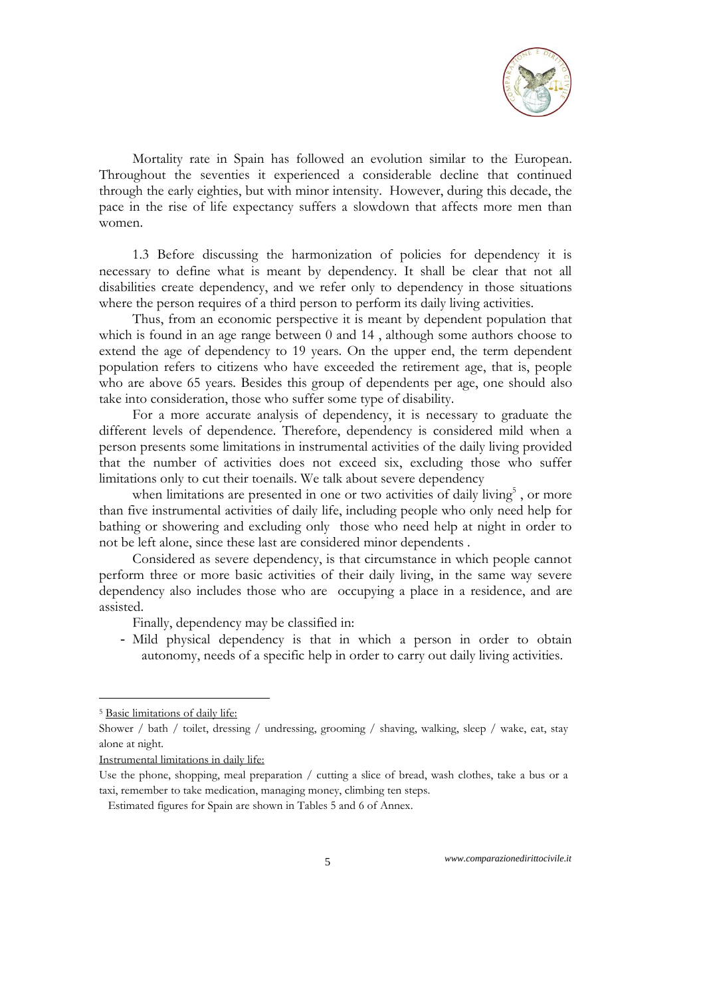

Mortality rate in Spain has followed an evolution similar to the European. Throughout the seventies it experienced a considerable decline that continued through the early eighties, but with minor intensity. However, during this decade, the pace in the rise of life expectancy suffers a slowdown that affects more men than women.

1.3 Before discussing the harmonization of policies for dependency it is necessary to define what is meant by dependency. It shall be clear that not all disabilities create dependency, and we refer only to dependency in those situations where the person requires of a third person to perform its daily living activities.

Thus, from an economic perspective it is meant by dependent population that which is found in an age range between 0 and 14 , although some authors choose to extend the age of dependency to 19 years. On the upper end, the term dependent population refers to citizens who have exceeded the retirement age, that is, people who are above 65 years. Besides this group of dependents per age, one should also take into consideration, those who suffer some type of disability.

For a more accurate analysis of dependency, it is necessary to graduate the different levels of dependence. Therefore, dependency is considered mild when a person presents some limitations in instrumental activities of the daily living provided that the number of activities does not exceed six, excluding those who suffer limitations only to cut their toenails. We talk about severe dependency

when limitations are presented in one or two activities of daily living<sup>5</sup>, or more than five instrumental activities of daily life, including people who only need help for bathing or showering and excluding only those who need help at night in order to not be left alone, since these last are considered minor dependents .

Considered as severe dependency, is that circumstance in which people cannot perform three or more basic activities of their daily living, in the same way severe dependency also includes those who are occupying a place in a residence, and are assisted.

Finally, dependency may be classified in:

- Mild physical dependency is that in which a person in order to obtain autonomy, needs of a specific help in order to carry out daily living activities.

<u>.</u>

Instrumental limitations in daily life:

<sup>&</sup>lt;sup>5</sup> Basic limitations of daily life:

Shower / bath / toilet, dressing / undressing, grooming / shaving, walking, sleep / wake, eat, stay alone at night.

Use the phone, shopping, meal preparation / cutting a slice of bread, wash clothes, take a bus or a taxi, remember to take medication, managing money, climbing ten steps.

Estimated figures for Spain are shown in Tables 5 and 6 of Annex.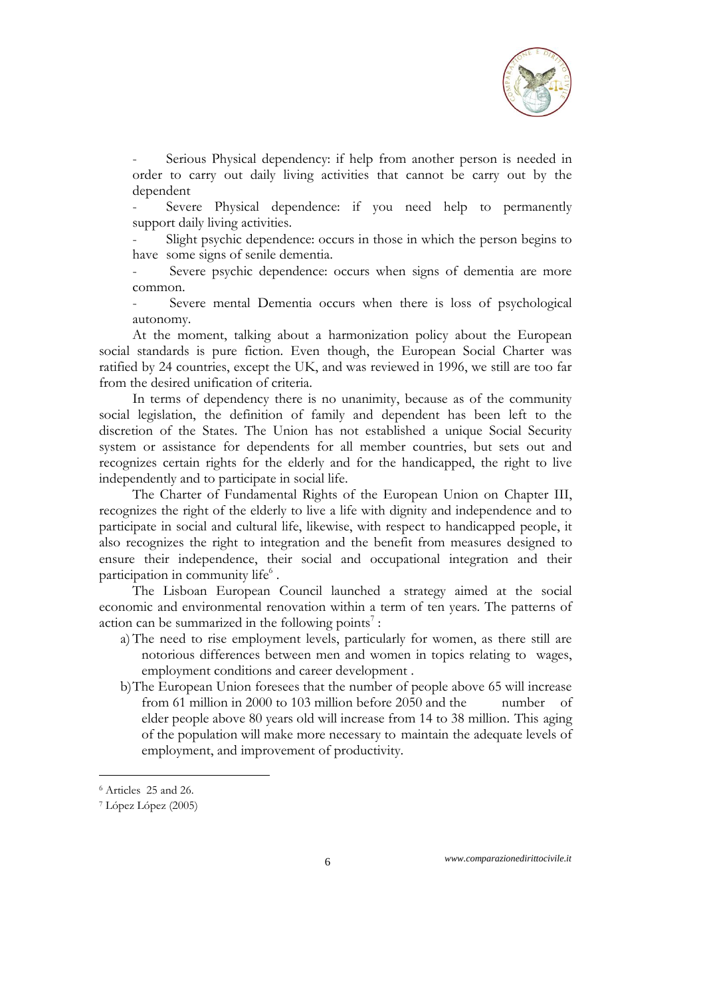

Serious Physical dependency: if help from another person is needed in order to carry out daily living activities that cannot be carry out by the dependent

Severe Physical dependence: if you need help to permanently support daily living activities.

Slight psychic dependence: occurs in those in which the person begins to have some signs of senile dementia.

Severe psychic dependence: occurs when signs of dementia are more common.

Severe mental Dementia occurs when there is loss of psychological autonomy.

At the moment, talking about a harmonization policy about the European social standards is pure fiction. Even though, the European Social Charter was ratified by 24 countries, except the UK, and was reviewed in 1996, we still are too far from the desired unification of criteria.

In terms of dependency there is no unanimity, because as of the community social legislation, the definition of family and dependent has been left to the discretion of the States. The Union has not established a unique Social Security system or assistance for dependents for all member countries, but sets out and recognizes certain rights for the elderly and for the handicapped, the right to live independently and to participate in social life.

The Charter of Fundamental Rights of the European Union on Chapter III, recognizes the right of the elderly to live a life with dignity and independence and to participate in social and cultural life, likewise, with respect to handicapped people, it also recognizes the right to integration and the benefit from measures designed to ensure their independence, their social and occupational integration and their participation in community life<sup>6</sup>.

The Lisboan European Council launched a strategy aimed at the social economic and environmental renovation within a term of ten years. The patterns of action can be summarized in the following points<sup>7</sup>:

- a) The need to rise employment levels, particularly for women, as there still are notorious differences between men and women in topics relating to wages, employment conditions and career development .
- b)The European Union foresees that the number of people above 65 will increase from 61 million in 2000 to 103 million before 2050 and the number of elder people above 80 years old will increase from 14 to 38 million. This aging of the population will make more necessary to maintain the adequate levels of employment, and improvement of productivity.

1

<sup>6</sup> Articles 25 and 26.

<sup>7</sup> López López (2005)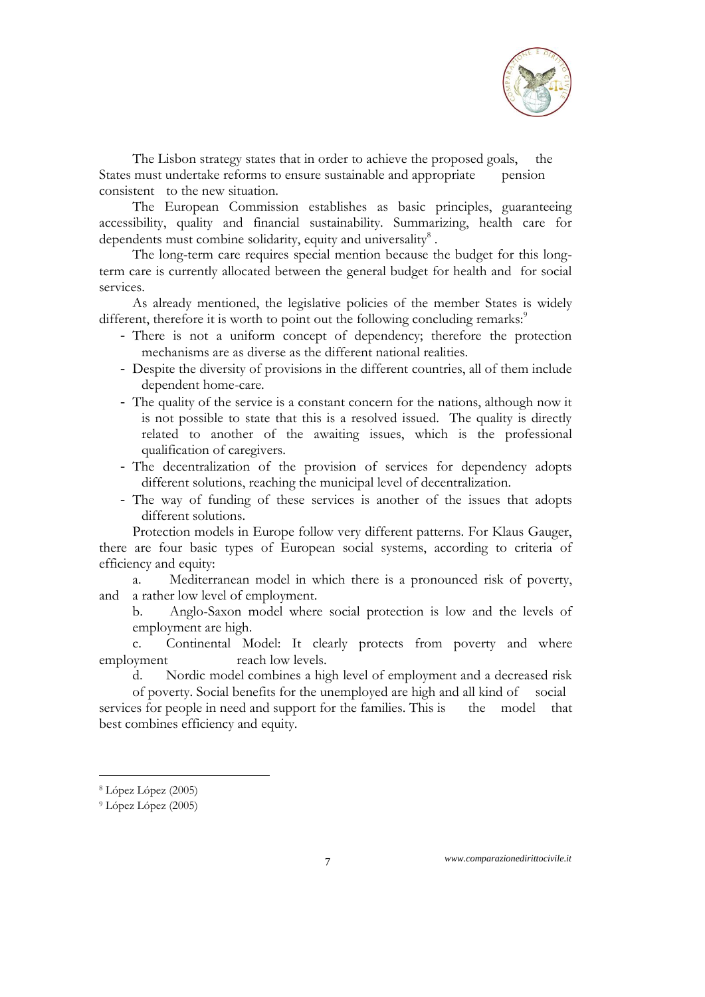

The Lisbon strategy states that in order to achieve the proposed goals, the States must undertake reforms to ensure sustainable and appropriate pension consistent to the new situation.

The European Commission establishes as basic principles, guaranteeing accessibility, quality and financial sustainability. Summarizing, health care for dependents must combine solidarity, equity and universality<sup>8</sup>.

The long-term care requires special mention because the budget for this longterm care is currently allocated between the general budget for health and for social services.

As already mentioned, the legislative policies of the member States is widely different, therefore it is worth to point out the following concluding remarks:<sup>9</sup>

- There is not a uniform concept of dependency; therefore the protection mechanisms are as diverse as the different national realities.
- Despite the diversity of provisions in the different countries, all of them include dependent home-care.
- The quality of the service is a constant concern for the nations, although now it is not possible to state that this is a resolved issued. The quality is directly related to another of the awaiting issues, which is the professional qualification of caregivers.
- The decentralization of the provision of services for dependency adopts different solutions, reaching the municipal level of decentralization.
- The way of funding of these services is another of the issues that adopts different solutions.

Protection models in Europe follow very different patterns. For Klaus Gauger, there are four basic types of European social systems, according to criteria of efficiency and equity:

a. Mediterranean model in which there is a pronounced risk of poverty, and a rather low level of employment.

b. Anglo-Saxon model where social protection is low and the levels of employment are high.

c. Continental Model: It clearly protects from poverty and where employment reach low levels.

d. Nordic model combines a high level of employment and a decreased risk

of poverty. Social benefits for the unemployed are high and all kind of social services for people in need and support for the families. This is the model that best combines efficiency and equity.

1

*www.comparazionedirittocivile.it*

<sup>8</sup> López López (2005)

<sup>&</sup>lt;sup>9</sup> López López (2005)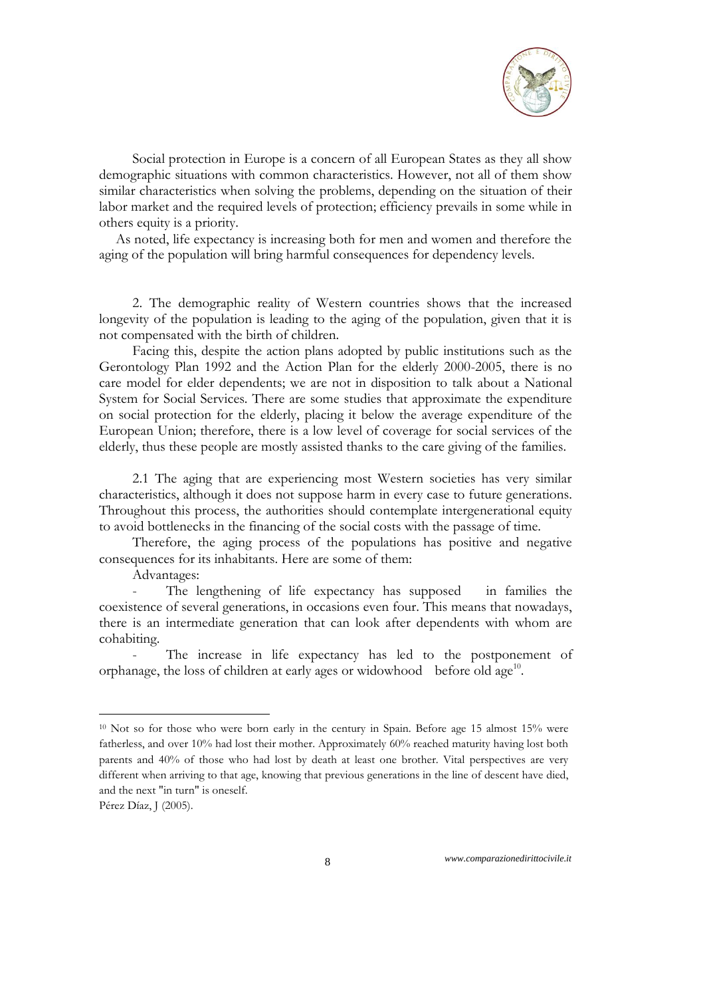

Social protection in Europe is a concern of all European States as they all show demographic situations with common characteristics. However, not all of them show similar characteristics when solving the problems, depending on the situation of their labor market and the required levels of protection; efficiency prevails in some while in others equity is a priority.

As noted, life expectancy is increasing both for men and women and therefore the aging of the population will bring harmful consequences for dependency levels.

2. The demographic reality of Western countries shows that the increased longevity of the population is leading to the aging of the population, given that it is not compensated with the birth of children.

Facing this, despite the action plans adopted by public institutions such as the Gerontology Plan 1992 and the Action Plan for the elderly 2000-2005, there is no care model for elder dependents; we are not in disposition to talk about a National System for Social Services. There are some studies that approximate the expenditure on social protection for the elderly, placing it below the average expenditure of the European Union; therefore, there is a low level of coverage for social services of the elderly, thus these people are mostly assisted thanks to the care giving of the families.

2.1 The aging that are experiencing most Western societies has very similar characteristics, although it does not suppose harm in every case to future generations. Throughout this process, the authorities should contemplate intergenerational equity to avoid bottlenecks in the financing of the social costs with the passage of time.

Therefore, the aging process of the populations has positive and negative consequences for its inhabitants. Here are some of them:

Advantages:

The lengthening of life expectancy has supposed in families the coexistence of several generations, in occasions even four. This means that nowadays, there is an intermediate generation that can look after dependents with whom are cohabiting.

The increase in life expectancy has led to the postponement of orphanage, the loss of children at early ages or widowhood before old age<sup>10</sup>.

<u>.</u>

<sup>&</sup>lt;sup>10</sup> Not so for those who were born early in the century in Spain. Before age 15 almost 15% were fatherless, and over 10% had lost their mother. Approximately 60% reached maturity having lost both parents and 40% of those who had lost by death at least one brother. Vital perspectives are very different when arriving to that age, knowing that previous generations in the line of descent have died, and the next "in turn" is oneself.

Pérez Díaz, J (2005).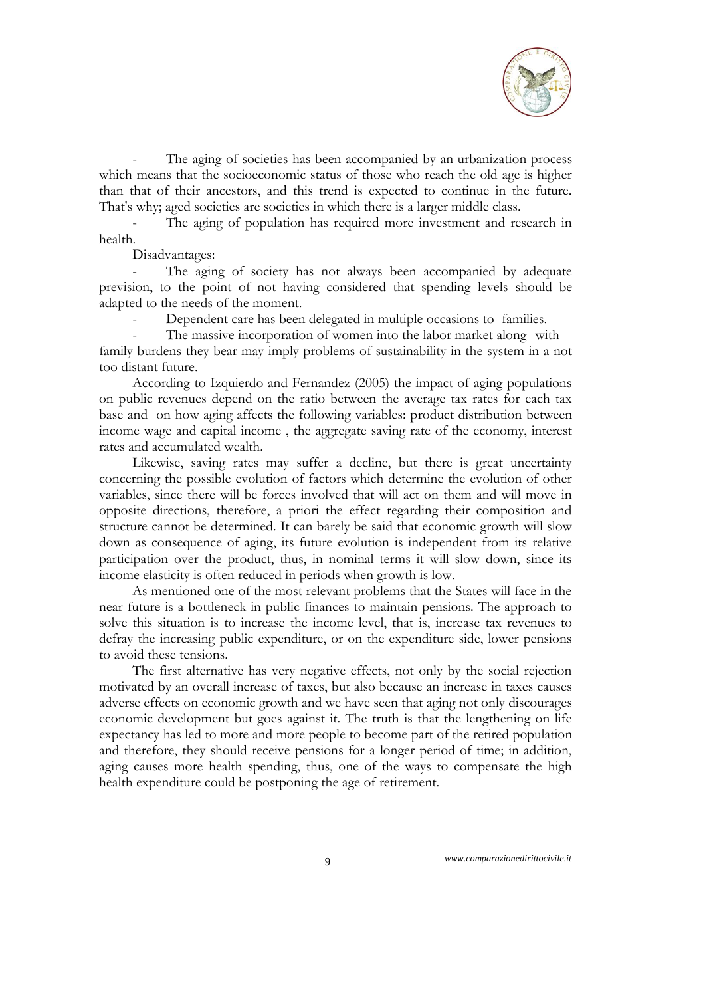

The aging of societies has been accompanied by an urbanization process which means that the socioeconomic status of those who reach the old age is higher than that of their ancestors, and this trend is expected to continue in the future. That's why; aged societies are societies in which there is a larger middle class.

The aging of population has required more investment and research in health.

Disadvantages:

The aging of society has not always been accompanied by adequate prevision, to the point of not having considered that spending levels should be adapted to the needs of the moment.

Dependent care has been delegated in multiple occasions to families.

The massive incorporation of women into the labor market along with family burdens they bear may imply problems of sustainability in the system in a not too distant future.

According to Izquierdo and Fernandez (2005) the impact of aging populations on public revenues depend on the ratio between the average tax rates for each tax base and on how aging affects the following variables: product distribution between income wage and capital income , the aggregate saving rate of the economy, interest rates and accumulated wealth.

Likewise, saving rates may suffer a decline, but there is great uncertainty concerning the possible evolution of factors which determine the evolution of other variables, since there will be forces involved that will act on them and will move in opposite directions, therefore, a priori the effect regarding their composition and structure cannot be determined. It can barely be said that economic growth will slow down as consequence of aging, its future evolution is independent from its relative participation over the product, thus, in nominal terms it will slow down, since its income elasticity is often reduced in periods when growth is low.

As mentioned one of the most relevant problems that the States will face in the near future is a bottleneck in public finances to maintain pensions. The approach to solve this situation is to increase the income level, that is, increase tax revenues to defray the increasing public expenditure, or on the expenditure side, lower pensions to avoid these tensions.

The first alternative has very negative effects, not only by the social rejection motivated by an overall increase of taxes, but also because an increase in taxes causes adverse effects on economic growth and we have seen that aging not only discourages economic development but goes against it. The truth is that the lengthening on life expectancy has led to more and more people to become part of the retired population and therefore, they should receive pensions for a longer period of time; in addition, aging causes more health spending, thus, one of the ways to compensate the high health expenditure could be postponing the age of retirement.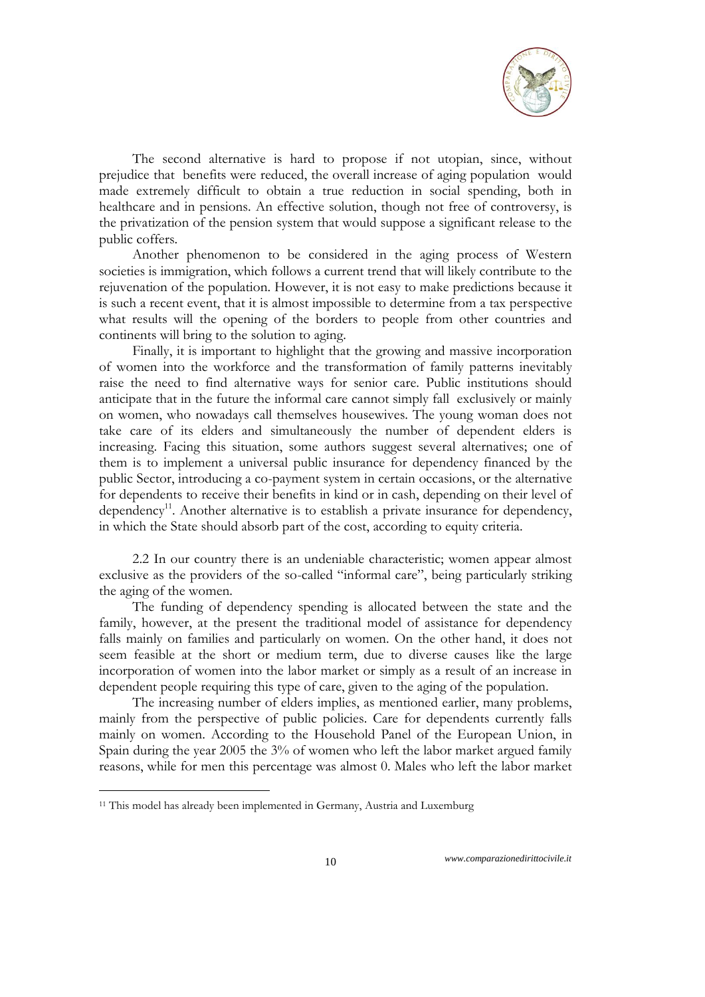

The second alternative is hard to propose if not utopian, since, without prejudice that benefits were reduced, the overall increase of aging population would made extremely difficult to obtain a true reduction in social spending, both in healthcare and in pensions. An effective solution, though not free of controversy, is the privatization of the pension system that would suppose a significant release to the public coffers.

Another phenomenon to be considered in the aging process of Western societies is immigration, which follows a current trend that will likely contribute to the rejuvenation of the population. However, it is not easy to make predictions because it is such a recent event, that it is almost impossible to determine from a tax perspective what results will the opening of the borders to people from other countries and continents will bring to the solution to aging.

Finally, it is important to highlight that the growing and massive incorporation of women into the workforce and the transformation of family patterns inevitably raise the need to find alternative ways for senior care. Public institutions should anticipate that in the future the informal care cannot simply fall exclusively or mainly on women, who nowadays call themselves housewives. The young woman does not take care of its elders and simultaneously the number of dependent elders is increasing. Facing this situation, some authors suggest several alternatives; one of them is to implement a universal public insurance for dependency financed by the public Sector, introducing a co-payment system in certain occasions, or the alternative for dependents to receive their benefits in kind or in cash, depending on their level of dependency<sup>11</sup>. Another alternative is to establish a private insurance for dependency, in which the State should absorb part of the cost, according to equity criteria.

2.2 In our country there is an undeniable characteristic; women appear almost exclusive as the providers of the so-called "informal care", being particularly striking the aging of the women.

The funding of dependency spending is allocated between the state and the family, however, at the present the traditional model of assistance for dependency falls mainly on families and particularly on women. On the other hand, it does not seem feasible at the short or medium term, due to diverse causes like the large incorporation of women into the labor market or simply as a result of an increase in dependent people requiring this type of care, given to the aging of the population.

The increasing number of elders implies, as mentioned earlier, many problems, mainly from the perspective of public policies. Care for dependents currently falls mainly on women. According to the Household Panel of the European Union, in Spain during the year 2005 the 3% of women who left the labor market argued family reasons, while for men this percentage was almost 0. Males who left the labor market

<u>.</u>

<sup>&</sup>lt;sup>11</sup> This model has already been implemented in Germany, Austria and Luxemburg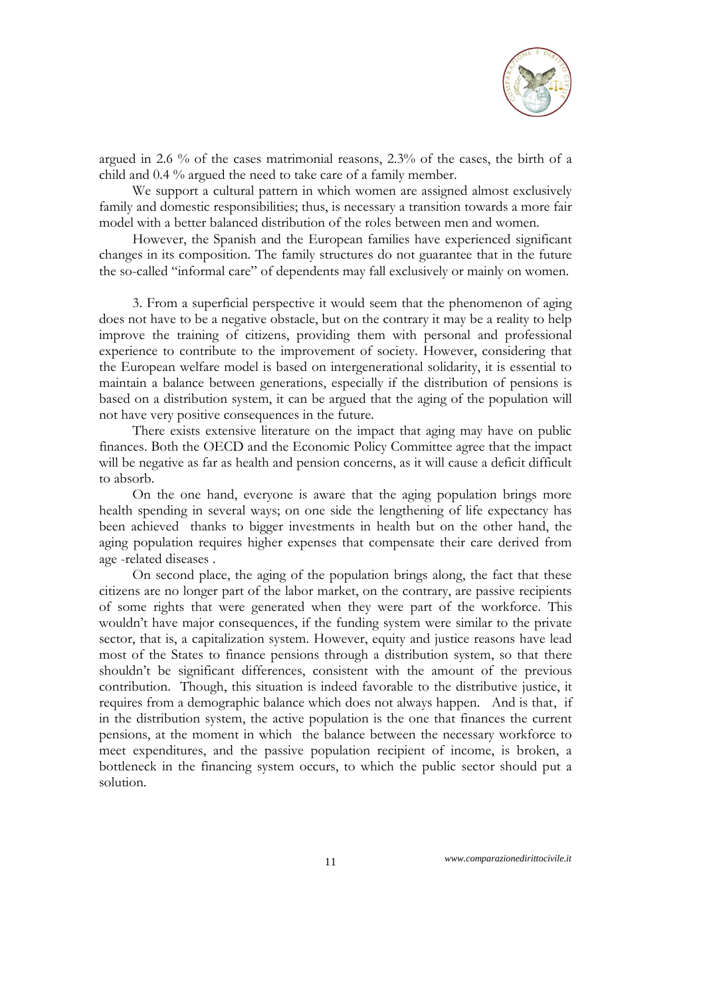

argued in 2.6 % of the cases matrimonial reasons, 2.3% of the cases, the birth of a child and 0.4 % argued the need to take care of a family member.

We support a cultural pattern in which women are assigned almost exclusively family and domestic responsibilities; thus, is necessary a transition towards a more fair model with a better balanced distribution of the roles between men and women.

However, the Spanish and the European families have experienced significant changes in its composition. The family structures do not guarantee that in the future the so-called "informal care" of dependents may fall exclusively or mainly on women.

3. From a superficial perspective it would seem that the phenomenon of aging does not have to be a negative obstacle, but on the contrary it may be a reality to help improve the training of citizens, providing them with personal and professional experience to contribute to the improvement of society. However, considering that the European welfare model is based on intergenerational solidarity, it is essential to maintain a balance between generations, especially if the distribution of pensions is based on a distribution system, it can be argued that the aging of the population will not have very positive consequences in the future.

There exists extensive literature on the impact that aging may have on public finances. Both the OECD and the Economic Policy Committee agree that the impact will be negative as far as health and pension concerns, as it will cause a deficit difficult to absorb.

On the one hand, everyone is aware that the aging population brings more health spending in several ways; on one side the lengthening of life expectancy has been achieved thanks to bigger investments in health but on the other hand, the aging population requires higher expenses that compensate their care derived from age -related diseases .

On second place, the aging of the population brings along, the fact that these citizens are no longer part of the labor market, on the contrary, are passive recipients of some rights that were generated when they were part of the workforce. This wouldn't have major consequences, if the funding system were similar to the private sector, that is, a capitalization system. However, equity and justice reasons have lead most of the States to finance pensions through a distribution system, so that there shouldn't be significant differences, consistent with the amount of the previous contribution. Though, this situation is indeed favorable to the distributive justice, it requires from a demographic balance which does not always happen. And is that, if in the distribution system, the active population is the one that finances the current pensions, at the moment in which the balance between the necessary workforce to meet expenditures, and the passive population recipient of income, is broken, a bottleneck in the financing system occurs, to which the public sector should put a solution.

11 *www.comparazionedirittocivile.it*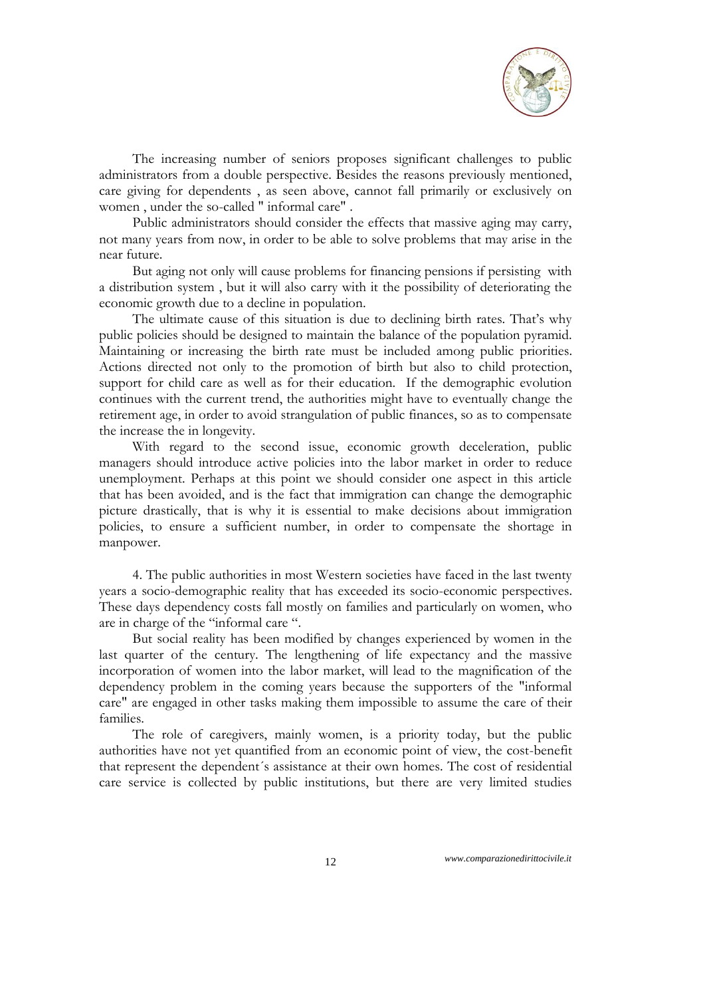

The increasing number of seniors proposes significant challenges to public administrators from a double perspective. Besides the reasons previously mentioned, care giving for dependents , as seen above, cannot fall primarily or exclusively on women , under the so-called " informal care" .

Public administrators should consider the effects that massive aging may carry, not many years from now, in order to be able to solve problems that may arise in the near future.

But aging not only will cause problems for financing pensions if persisting with a distribution system , but it will also carry with it the possibility of deteriorating the economic growth due to a decline in population.

The ultimate cause of this situation is due to declining birth rates. That's why public policies should be designed to maintain the balance of the population pyramid. Maintaining or increasing the birth rate must be included among public priorities. Actions directed not only to the promotion of birth but also to child protection, support for child care as well as for their education. If the demographic evolution continues with the current trend, the authorities might have to eventually change the retirement age, in order to avoid strangulation of public finances, so as to compensate the increase the in longevity.

With regard to the second issue, economic growth deceleration, public managers should introduce active policies into the labor market in order to reduce unemployment. Perhaps at this point we should consider one aspect in this article that has been avoided, and is the fact that immigration can change the demographic picture drastically, that is why it is essential to make decisions about immigration policies, to ensure a sufficient number, in order to compensate the shortage in manpower.

4. The public authorities in most Western societies have faced in the last twenty years a socio-demographic reality that has exceeded its socio-economic perspectives. These days dependency costs fall mostly on families and particularly on women, who are in charge of the "informal care ".

But social reality has been modified by changes experienced by women in the last quarter of the century. The lengthening of life expectancy and the massive incorporation of women into the labor market, will lead to the magnification of the dependency problem in the coming years because the supporters of the "informal care" are engaged in other tasks making them impossible to assume the care of their families.

The role of caregivers, mainly women, is a priority today, but the public authorities have not yet quantified from an economic point of view, the cost-benefit that represent the dependent´s assistance at their own homes. The cost of residential care service is collected by public institutions, but there are very limited studies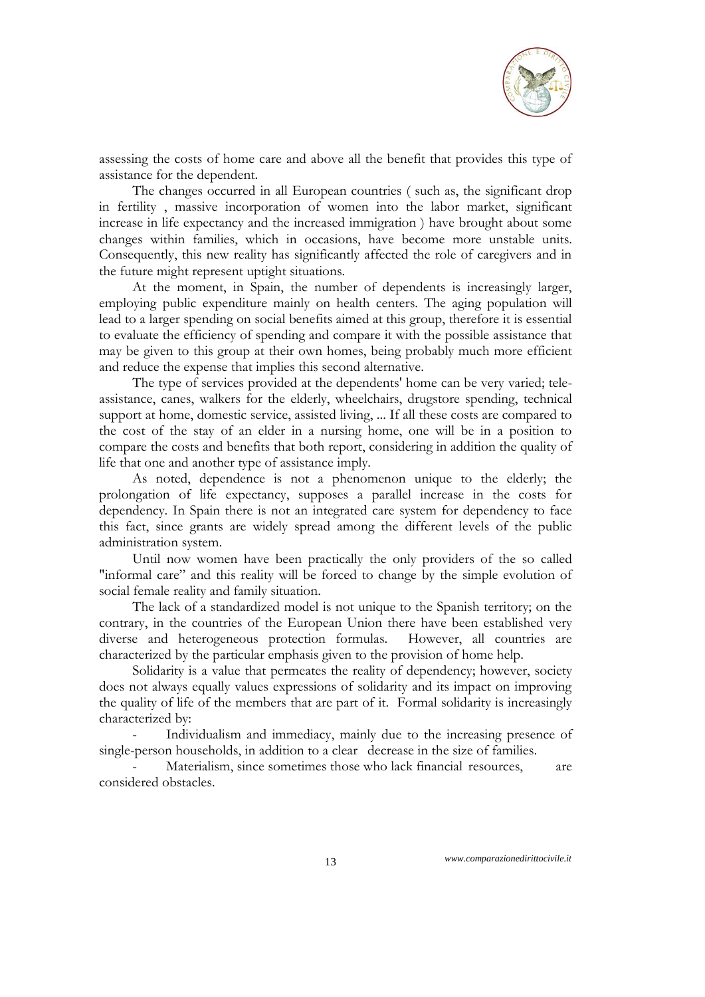

assessing the costs of home care and above all the benefit that provides this type of assistance for the dependent.

The changes occurred in all European countries ( such as, the significant drop in fertility , massive incorporation of women into the labor market, significant increase in life expectancy and the increased immigration ) have brought about some changes within families, which in occasions, have become more unstable units. Consequently, this new reality has significantly affected the role of caregivers and in the future might represent uptight situations.

At the moment, in Spain, the number of dependents is increasingly larger, employing public expenditure mainly on health centers. The aging population will lead to a larger spending on social benefits aimed at this group, therefore it is essential to evaluate the efficiency of spending and compare it with the possible assistance that may be given to this group at their own homes, being probably much more efficient and reduce the expense that implies this second alternative.

The type of services provided at the dependents' home can be very varied; teleassistance, canes, walkers for the elderly, wheelchairs, drugstore spending, technical support at home, domestic service, assisted living, ... If all these costs are compared to the cost of the stay of an elder in a nursing home, one will be in a position to compare the costs and benefits that both report, considering in addition the quality of life that one and another type of assistance imply.

As noted, dependence is not a phenomenon unique to the elderly; the prolongation of life expectancy, supposes a parallel increase in the costs for dependency. In Spain there is not an integrated care system for dependency to face this fact, since grants are widely spread among the different levels of the public administration system.

Until now women have been practically the only providers of the so called "informal care" and this reality will be forced to change by the simple evolution of social female reality and family situation.

The lack of a standardized model is not unique to the Spanish territory; on the contrary, in the countries of the European Union there have been established very diverse and heterogeneous protection formulas. However, all countries are characterized by the particular emphasis given to the provision of home help.

Solidarity is a value that permeates the reality of dependency; however, society does not always equally values expressions of solidarity and its impact on improving the quality of life of the members that are part of it. Formal solidarity is increasingly characterized by:

Individualism and immediacy, mainly due to the increasing presence of single-person households, in addition to a clear decrease in the size of families.

Materialism, since sometimes those who lack financial resources, are considered obstacles.